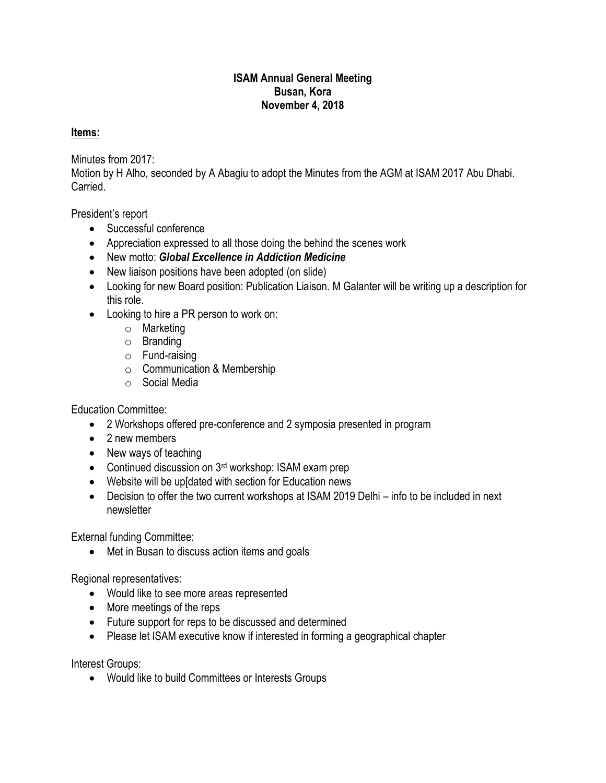## **ISAM Annual General Meeting Busan, Kora November 4, 2018**

## **Items:**

Minutes from 2017:

Motion by H Alho, seconded by A Abagiu to adopt the Minutes from the AGM at ISAM 2017 Abu Dhabi. **Carried** 

President's report

- Successful conference
- Appreciation expressed to all those doing the behind the scenes work
- New motto: *Global Excellence in Addiction Medicine*
- New liaison positions have been adopted (on slide)
- Looking for new Board position: Publication Liaison. M Galanter will be writing up a description for this role.
- Looking to hire a PR person to work on:
	- o Marketing
	- o Branding
	- o Fund-raising
	- o Communication & Membership
	- o Social Media

Education Committee:

- 2 Workshops offered pre-conference and 2 symposia presented in program
- 2 new members
- New ways of teaching
- Continued discussion on 3<sup>rd</sup> workshop: ISAM exam prep
- Website will be up[dated with section for Education news
- Decision to offer the two current workshops at ISAM 2019 Delhi info to be included in next newsletter

External funding Committee:

• Met in Busan to discuss action items and goals

Regional representatives:

- Would like to see more areas represented
- More meetings of the reps
- Future support for reps to be discussed and determined
- Please let ISAM executive know if interested in forming a geographical chapter

Interest Groups:

Would like to build Committees or Interests Groups